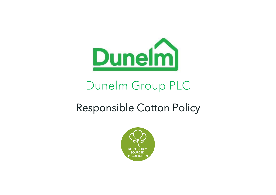

# Dunelm Group PLC

# Responsible Cotton Policy

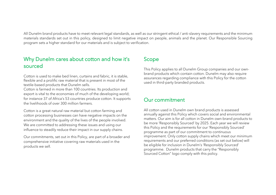All Dunelm brand products have to meet relevant legal standards, as well as our stringent ethical / anti-slavery requirements and the minimum materials standards set out in this policy, designed to limit negative impact on people, animals and the planet. Our Responsible Sourcing program sets a higher standard for our materials and is subject to verification.

## Why Dunelm cares about cotton and how it's sourced

Cotton is used to make bed linen, curtains and fabric, it is stable, flexible and a prolific raw material that is present in most of the textile-based products that Dunelm sells.

Cotton is farmed in more than 100 countries. Its production and export is vital to the economies of much of the developing world; for instance 37 of Africa's 53 countries produce cotton. It supports the livelihoods of over 300 million farmers.

Cotton is a great natural raw material but cotton farming and cotton processing businesses can have negative impacts on the environment and the quality of the lives of the people involved. We are committed to addressing these issues and using our influence to steadily reduce their impact in our supply chains.

Our commitments, set out in this Policy, are part of a broader and comprehensive initiative covering raw materials used in the products we sell.

## Scope

This Policy applies to all Dunelm Group companies and our ownbrand products which contain cotton. Dunelm may also require assurances regarding compliance with this Policy for the cotton used in third-party branded products.

## Our commitment

All cotton used in Dunelm own brand products is assessed annually against this Policy which covers social and environmental matters. Our aim is for all cotton in Dunelm own-brand products to be more 'Responsibly Sourced' by 2025. Each year we will review this Policy and the requirements for our 'Responsibly Sourced' programme as part of our commitment to continuous improvement. Only cotton supply chains which meet our minimum requirements and our preferred conditions (as set out below) will be eligible for inclusion in Dunelm's 'Responsibly Sourced' programme. Dunelm products that carry the "Responsibly Sourced Cotton" logo comply with this policy.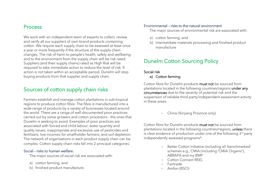## Process

We work with an independent team of experts to collect, review and verify all our suppliers of own-brand products containing cotton. We require each supply chain to be assessed at least once a year or more frequently if the structure of the supply chain changes. The risk of harm to people's health, safety and wellbeing and to the environment from the supply chain will be risk rated. Suppliers (and their supply chains) rated as High Risk will be required to take immediate action to reduce the level of risk. If action is not taken within an acceptable period, Dunelm will stop buying products from that supplier and supply chain.

# Sources of cotton supply chain risks

Farmers establish and manage cotton plantations in sub-tropical regions to produce cotton fibre. The fibre is manufactured into a wide range of products by a variety of businesses located around the world. There are a range of well documented poor practices carried out by some growers and cotton processors - the ones that Dunelm is seeking to avoid. Examples of poor practices are associated with forced and child labour; water quantity and quality issues; inappropriate and excessive use of pesticides and fertilisers; low incomes for smallholder farmers; and soil depletion. The network of organisations in each product supply chain can be complex. Cotton supply chain risks fall into 2 principal categories:

#### Social – risks to human welfare.

The major sources of social risk are associated with:

- a) cotton farming, and
- b) finished product manufacture.

### Environmental – risks to the natural environment

The major sources of environmental risk are associated with:

- a) cotton farming, and
- b) intermediate materials processing and finished product manufacture

# Dunelm Cotton Sourcing Policy

## Social risk

#### a) Cotton farming

Cotton fibre for Dunelm products must not be sourced from plantations located in the following countries/regions under any circumstances due to the severity of potential risk and the suspension of reliable third-party/independent assessment activity in these areas:

- China (Xinjiang Province only)

Cotton fibre for Dunelm products must not be sourced from plantations located in the following countries/regions, unless there is clear evidence of production under one of the following  $3<sup>rd</sup>$  party independently assessed programs\*:

- Better Cotton Initiative (including all 'benchmarked' schemes e.g., CMiA (including 'CMiA Organic'), ABRAPA and my BMP
- Cotton Connect REEL
- Fairtrade
- Amfori (BSCI)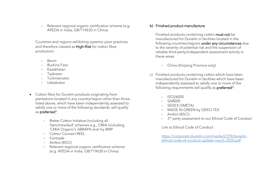- Relevant regional organic certification scheme (e.g. APEDA in India, GB/T19630 in China)

Countries and regions exhibiting systemic poor practices and therefore classed as High-Risk for cotton fibre production:

- Benin
- Burkina Faso
- Kazakhstan
- Tajikistan
- Turkmenistan
- Uzbekistan
- Cotton fibre for Dunelm products originating from plantations located in any country/region other than those listed above, which have been independently assessed to satisfy one or more of the following standards, will qualify as preferred\*:
	- Better Cotton Initiative (including all 'benchmarked' schemes e.g., CMiA (including 'CMiA Organic'), ABRAPA and my BMP
	- Cotton Connect REEL
	- Fairtrade
	- Amfori (BSCI)
	- Relevant regional organic certification scheme (e.g. APEDA in India, GB/T19630 in China)

## b) Finished product manufacture

Finished products containing cotton must not be manufactured for Dunelm in facilities located in the following countries/regions under any circumstances due to the severity of potential risk and the suspension of reliable third-party/independent assessment activity in these areas:

- China (Xinjiang Province only)
- c) Finished products containing cotton which have been manufactured for Dunelm in facilities which have been independently assessed to satisfy one or more of the following requirements will qualify as **preferred**\*:
	- ISO26000
	- SA8000
	- SEDEX (SMETA)
	- MADE IN GREEN by OEKO-TEX
	- Amfori (BSCI)
	- 3<sup>rd</sup> party assessment to our Ethical Code of Conduct

Link to Ethical Code of Conduct

[https://corporate.dunelm.com/media/2729/dunelm](https://corporate.dunelm.com/media/2729/dunelm-ethical-code-of-conduct-update-march-2020.pdf)[ethical-code-of-conduct-update-march-2020.pdf](https://corporate.dunelm.com/media/2729/dunelm-ethical-code-of-conduct-update-march-2020.pdf)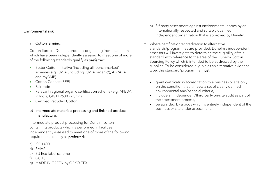## Environmental risk

## a) Cotton farming

Cotton fibre for Dunelm products originating from plantations which have been independently assessed to meet one of more of the following standards qualify as preferred:

- Better Cotton Initiative (including all 'benchmarked' schemes e.g CMiA (including 'CMiA organic'), ABRAPA and myBMP)
- Cotton Connect REEL
- Fairtrade
- Relevant regional organic certification scheme (e.g. APEDA in India, GB/T19630 in China)
- Certified Recycled Cotton

## b) Intermediate materials processing and finished product manufacture.

Intermediate product processing for Dunelm cottoncontaining products which is performed in facilities independently assessed to meet one of more of the following requirements qualify as preferred:

- c) ISO14001
- d) EMAS
- e) EU Eco-label scheme
- f) GOTS
- g) MADE IN GREEN by OEKO-TEX
- h) 3 rd party assessment against environmental norms by an internationally respected and suitably qualified independent organization that is approved by Dunelm.
- Where certification/accreditation to alternative standards/programmes are provided, Dunelm's independent assessors will investigate to determine the eligibility of this standard with reference to the area of the Dunelm Cotton Sourcing Policy which is intended to be addressed by the supplier. To be considered eligible as an alternative evidence type, this standard/programme must:
	- grant certification/accreditation to a business or site only on the condition that it meets a set of clearly defined environmental and/or social criteria,
	- include an independent/third party on-site audit as part of the assessment process,
	- be awarded by a body which is entirely independent of the business or site under assessment.